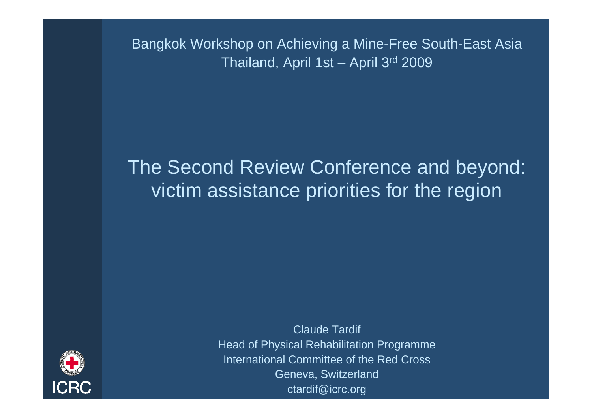Bangkok Workshop on Achieving a Mine-Free South-East Asia Thailand, April 1st – April 3rd 2009

#### The Second Review Conference and beyond: victim assistance priorities for the region



Claude Tardif Head of Physical Rehabilitation Programme International Committee of the Red CrossGeneva, Switzerland ctardif@icrc.org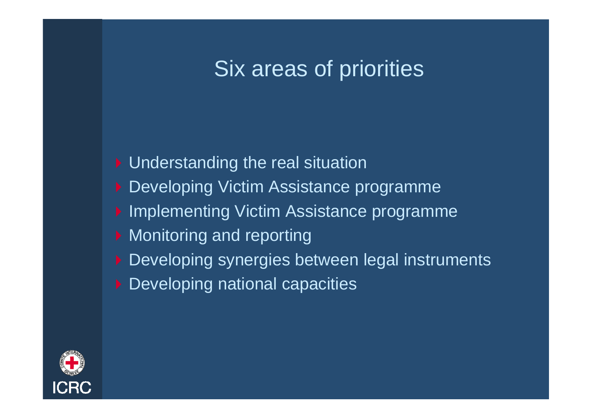## Six areas of priorities

- ▶ Understanding the real situation
- ▶ Developing Victim Assistance programme
- ▶ Implementing Victim Assistance programme
- **Monitoring and reporting**
- ▶ Developing synergies between legal instruments
- **Developing national capacities**

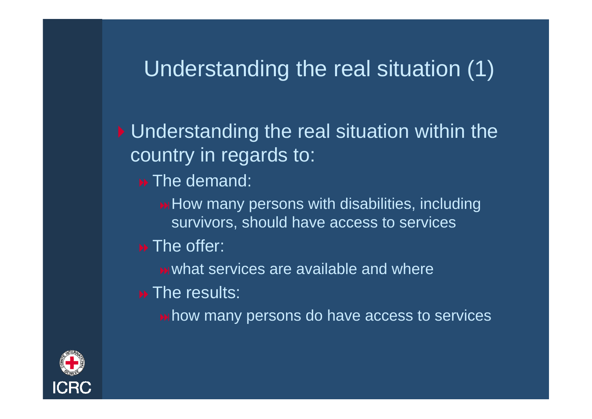## Understanding the real situation (1)

▶ Understanding the real situation within the country in regards to:

 $\rightarrow$  The demand:

**Heta** How many persons with disabilities, including survivors, should have access to services

 $\rightarrow$  The offer:

**WHATE SERVICES ARE AVAILABLE AND WHATE** 

 $\rightarrow$  The results:

**hidrow** many persons do have access to services

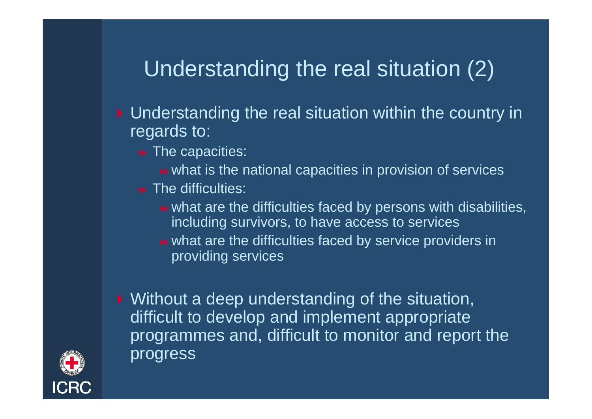## Understanding the real situation (2)

- ▶ Understanding the real situation within the country in regards to:
	- **De** The capacities:
		- **EXED WHATE IS the national capacities in provision of services**
	- $\rightarrow$  The difficulties:
		- **EXED WHAT Areally in What are the difficulties faced by persons with disabilities,** including survivors, to have access to services
		- **EXED WHAT Areas in EXEDER** in the difficulties faced by service providers in providing services

▶ Without a deep understanding of the situation, difficult to develop and implement appropriate programmes and, difficult to monitor and report the progress

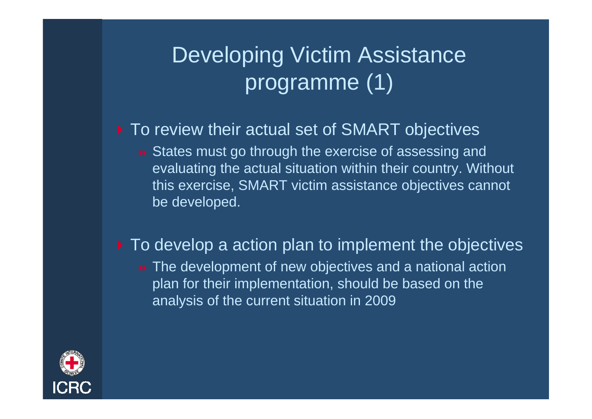# Developing Victim Assistance programme (1)

#### ▶ To review their actual set of SMART objectives

■ States must go through the exercise of assessing and evaluating the actual situation within their country. Without this exercise, SMART victim assistance objectives cannot be developed.

#### ▶ To develop a action plan to implement the objectives **EXTERN** The development of new objectives and a national action plan for their implementation, should be based on the analysis of the current situation in 2009

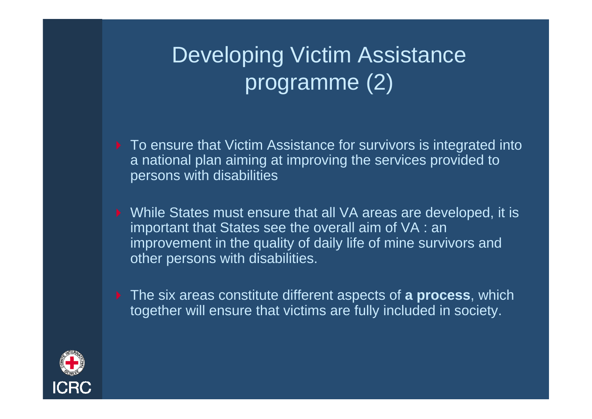# Developing Victim Assistance programme (2)

- ▶ To ensure that Victim Assistance for survivors is integrated into a national plan aiming at improving the services provided to persons with disabilities
- ▶ While States must ensure that all VA areas are developed, it is important that States see the overall aim of VA : an improvement in the quality of daily life of mine survivors and other persons with disabilities.
- The six areas constitute different aspects of **a process**, which together will ensure that victims are fully included in society.

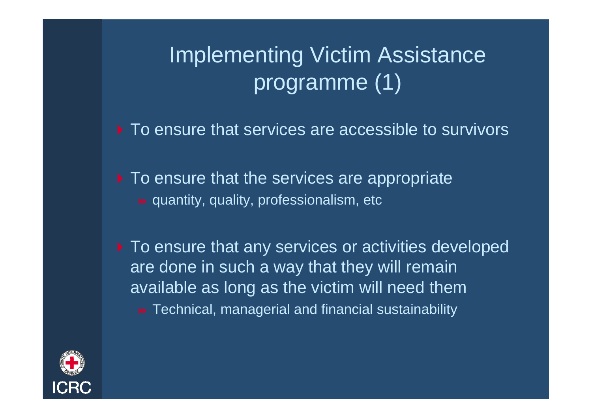# Implementing Victim Assistance programme (1)

 $\triangleright$  To ensure that services are accessible to survivors

▶ To ensure that the services are appropriate quantity, quality, professionalism, etc

 $\blacktriangleright$  To ensure that any services or activities developed are done in such a way that they will remain available as long as the victim will need them **B** Technical, managerial and financial sustainability

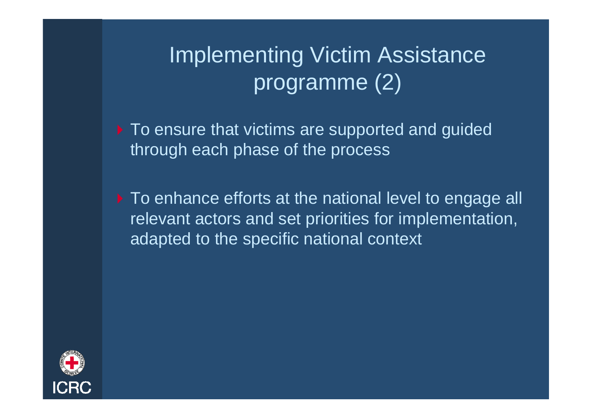## Implementing Victim Assistance programme (2)

▶ To ensure that victims are supported and guided through each phase of the process

To enhance efforts at the national level to engage all relevant actors and set priorities for implementation, adapted to the specific national context

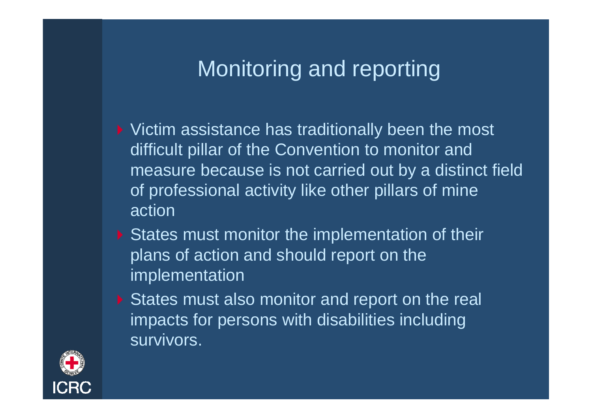## Monitoring and reporting

- ▶ Victim assistance has traditionally been the most difficult pillar of the Convention to monitor and measure because is not carried out by a distinct field of professional activity like other pillars of mine action
- States must monitor the implementation of their plans of action and should report on the implementation
- States must also monitor and report on the real impacts for persons with disabilities including survivors.

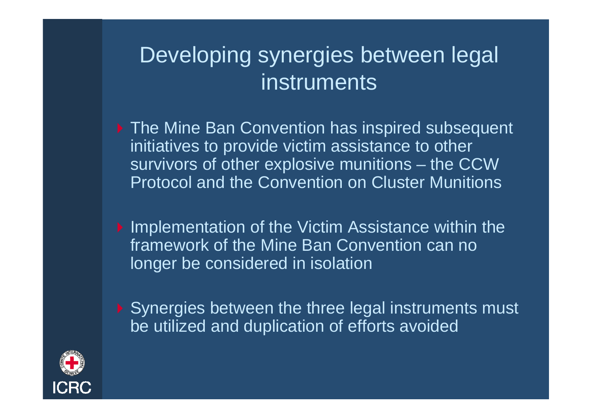## Developing synergies between legal instruments

- ▶ The Mine Ban Convention has inspired subsequent initiatives to provide victim assistance to other survivors of other explosive munitions – the CCW Protocol and the Convention on Cluster Munitions
- **Implementation of the Victim Assistance within the** framework of the Mine Ban Convention can no longer be considered in isolation
- ▶ Synergies between the three legal instruments must be utilized and duplication of efforts avoided

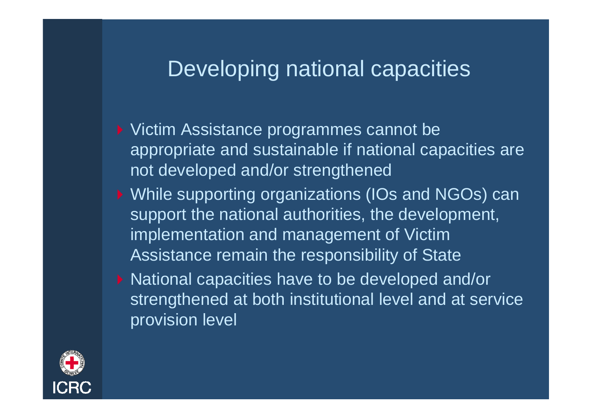#### Developing national capacities

- ▶ Victim Assistance programmes cannot be appropriate and sustainable if national capacities are not developed and/or strengthened
- ▶ While supporting organizations (IOs and NGOs) can support the national authorities, the development, implementation and management of Victim Assistance remain the responsibility of State
- ▶ National capacities have to be developed and/or strengthened at both institutional level and at service provision level